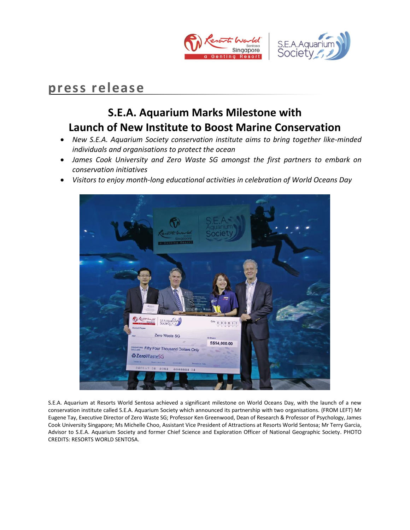



# **press release**

## **S.E.A. Aquarium Marks Milestone with Launch of New Institute to Boost Marine Conservation**

- *New S.E.A. Aquarium Society conservation institute aims to bring together like-minded individuals and organisations to protect the ocean*
- *James Cook University and Zero Waste SG amongst the first partners to embark on conservation initiatives*
- *Visitors to enjoy month-long educational activities in celebration of World Oceans Day*



S.E.A. Aquarium at Resorts World Sentosa achieved a significant milestone on World Oceans Day, with the launch of a new conservation institute called S.E.A. Aquarium Society which announced its partnership with two organisations. (FROM LEFT) Mr Eugene Tay, Executive Director of Zero Waste SG; Professor Ken Greenwood, Dean of Research & Professor of Psychology, James Cook University Singapore; Ms Michelle Choo, Assistant Vice President of Attractions at Resorts World Sentosa; Mr Terry Garcia, Advisor to S.E.A. Aquarium Society and former Chief Science and Exploration Officer of National Geographic Society. PHOTO CREDITS: RESORTS WORLD SENTOSA.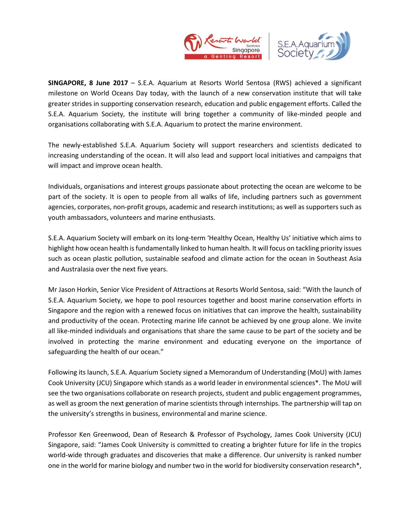



**SINGAPORE, 8 June 2017** – S.E.A. Aquarium at Resorts World Sentosa (RWS) achieved a significant milestone on World Oceans Day today, with the launch of a new conservation institute that will take greater strides in supporting conservation research, education and public engagement efforts. Called the S.E.A. Aquarium Society, the institute will bring together a community of like-minded people and organisations collaborating with S.E.A. Aquarium to protect the marine environment.

The newly-established S.E.A. Aquarium Society will support researchers and scientists dedicated to increasing understanding of the ocean. It will also lead and support local initiatives and campaigns that will impact and improve ocean health.

Individuals, organisations and interest groups passionate about protecting the ocean are welcome to be part of the society. It is open to people from all walks of life, including partners such as government agencies, corporates, non-profit groups, academic and research institutions; as well as supporters such as youth ambassadors, volunteers and marine enthusiasts.

S.E.A. Aquarium Society will embark on its long-term 'Healthy Ocean, Healthy Us' initiative which aims to highlight how ocean health is fundamentally linked to human health. It will focus on tackling priority issues such as ocean plastic pollution, sustainable seafood and climate action for the ocean in Southeast Asia and Australasia over the next five years.

Mr Jason Horkin, Senior Vice President of Attractions at Resorts World Sentosa, said: "With the launch of S.E.A. Aquarium Society, we hope to pool resources together and boost marine conservation efforts in Singapore and the region with a renewed focus on initiatives that can improve the health, sustainability and productivity of the ocean. Protecting marine life cannot be achieved by one group alone. We invite all like-minded individuals and organisations that share the same cause to be part of the society and be involved in protecting the marine environment and educating everyone on the importance of safeguarding the health of our ocean."

Following its launch, S.E.A. Aquarium Society signed a Memorandum of Understanding (MoU) with James Cook University (JCU) Singapore which stands as a world leader in environmental sciences\*. The MoU will see the two organisations collaborate on research projects, student and public engagement programmes, as well as groom the next generation of marine scientists through internships. The partnership will tap on the university's strengths in business, environmental and marine science.

Professor Ken Greenwood, Dean of Research & Professor of Psychology, James Cook University (JCU) Singapore, said: "James Cook University is committed to creating a brighter future for life in the tropics world-wide through graduates and discoveries that make a difference. Our university is ranked number one in the world for marine biology and number two in the world for biodiversity conservation research\*,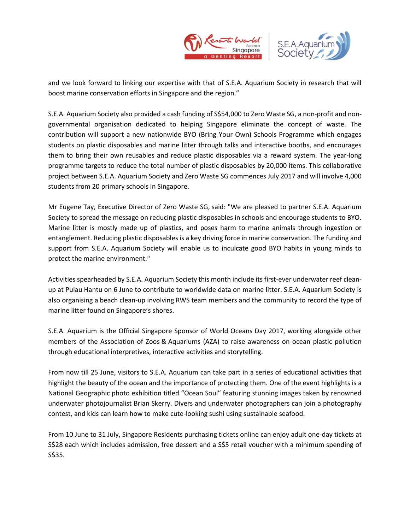



and we look forward to linking our expertise with that of S.E.A. Aquarium Society in research that will boost marine conservation efforts in Singapore and the region."

S.E.A. Aquarium Society also provided a cash funding of S\$54,000 to Zero Waste SG, a non-profit and nongovernmental organisation dedicated to helping Singapore eliminate the concept of waste. The contribution will support a new nationwide BYO (Bring Your Own) Schools Programme which engages students on plastic disposables and marine litter through talks and interactive booths, and encourages them to bring their own reusables and reduce plastic disposables via a reward system. The year-long programme targets to reduce the total number of plastic disposables by 20,000 items. This collaborative project between S.E.A. Aquarium Society and Zero Waste SG commences July 2017 and will involve 4,000 students from 20 primary schools in Singapore.

Mr Eugene Tay, Executive Director of Zero Waste SG, said: "We are pleased to partner S.E.A. Aquarium Society to spread the message on reducing plastic disposables in schools and encourage students to BYO. Marine litter is mostly made up of plastics, and poses harm to marine animals through ingestion or entanglement. Reducing plastic disposables is a key driving force in marine conservation. The funding and support from S.E.A. Aquarium Society will enable us to inculcate good BYO habits in young minds to protect the marine environment."

Activities spearheaded by S.E.A. Aquarium Society this month include its first-ever underwater reef cleanup at Pulau Hantu on 6 June to contribute to worldwide data on marine litter. S.E.A. Aquarium Society is also organising a beach clean-up involving RWS team members and the community to record the type of marine litter found on Singapore's shores.

S.E.A. Aquarium is the Official Singapore Sponsor of World Oceans Day 2017, working alongside other members of the Association of Zoos & Aquariums (AZA) to raise awareness on ocean plastic pollution through educational interpretives, interactive activities and storytelling.

From now till 25 June, visitors to S.E.A. Aquarium can take part in a series of educational activities that highlight the beauty of the ocean and the importance of protecting them. One of the event highlights is a National Geographic photo exhibition titled "Ocean Soul" featuring stunning images taken by renowned underwater photojournalist Brian Skerry. Divers and underwater photographers can join a photography contest, and kids can learn how to make cute-looking sushi using sustainable seafood.

From 10 June to 31 July, Singapore Residents purchasing tickets online can enjoy adult one-day tickets at S\$28 each which includes admission, free dessert and a S\$5 retail voucher with a minimum spending of S\$35.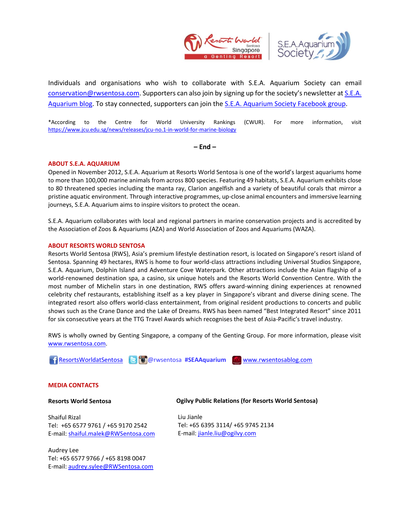



Individuals and organisations who wish to collaborate with S.E.A. Aquarium Society can email [conservation@rwsentosa.com.](mailto:conservation@rwsentosa.com) Supporters can also join by signing up for the society's newsletter at [S.E.A.](http://seaa.rwsentosablog.com/)  [Aquarium blog.](http://seaa.rwsentosablog.com/) To stay connected, supporters can join th[e S.E.A. Aquarium Society Facebook group.](https://www.facebook.com/groups/seaaquariumsociety/)

\*According to the Centre for World University Rankings (CWUR). For more information, visit <https://www.jcu.edu.sg/news/releases/jcu-no.1-in-world-for-marine-biology>

**– End –**

### **ABOUT S.E.A. AQUARIUM**

Opened in November 2012, S.E.A. Aquarium at Resorts World Sentosa is one of the world's largest aquariums home to more than 100,000 marine animals from across 800 species. Featuring 49 habitats, S.E.A. Aquarium exhibits close to 80 threatened species including the manta ray, Clarion angelfish and a variety of beautiful corals that mirror a pristine aquatic environment. Through interactive programmes, up-close animal encounters and immersive learning journeys, S.E.A. Aquarium aims to inspire visitors to protect the ocean.

S.E.A. Aquarium collaborates with local and regional partners in marine conservation projects and is accredited by the Association of Zoos & Aquariums (AZA) and World Association of Zoos and Aquariums (WAZA).

#### **ABOUT RESORTS WORLD SENTOSA**

Resorts World Sentosa (RWS), Asia's premium lifestyle destination resort, is located on Singapore's resort island of Sentosa. Spanning 49 hectares, RWS is home to four world-class attractions including Universal Studios Singapore, S.E.A. Aquarium, Dolphin Island and Adventure Cove Waterpark. Other attractions include the Asian flagship of a world-renowned destination spa, a casino, six unique hotels and the Resorts World Convention Centre. With the most number of Michelin stars in one destination, RWS offers award-winning dining experiences at renowned celebrity chef restaurants, establishing itself as a key player in Singapore's vibrant and diverse dining scene. The integrated resort also offers world-class entertainment, from original resident productions to concerts and public shows such as the Crane Dance and the Lake of Dreams. RWS has been named "Best Integrated Resort" since 2011 for six consecutive years at the TTG Travel Awards which recognises the best of Asia-Pacific's travel industry.

RWS is wholly owned by Genting Singapore, a company of the Genting Group. For more information, please visit [www.rwsentosa.com.](http://www.rwsentosa.com/)

[ResortsWorldatSentosa](https://www.facebook.com/ResortsWorldatSentosa) **B** @rwsentosa #SEAAquarium <u>W [www.rwsentosablog.com](http://www.rwsentosablog.com/)</u>

#### **MEDIA CONTACTS**

#### **Resorts World Sentosa**

Shaiful Rizal Tel: +65 6577 9761 / +65 9170 2542 E-mail: [shaiful.malek@RWSentosa.com](mailto:shaiful.malek@RWSentosa.com)

Audrey Lee Tel: +65 6577 9766 / +65 8198 0047 E-mail: [audrey.sylee@RWSentosa.com](mailto:audrey.sylee@RWSentosa.com) **Ogilvy Public Relations (for Resorts World Sentosa)**

Liu Jianle Tel: +65 6395 3114/ +65 9745 2134 E-mail: [jianle.liu@ogilvy.com](mailto:jianle.liu@ogilvy.com)